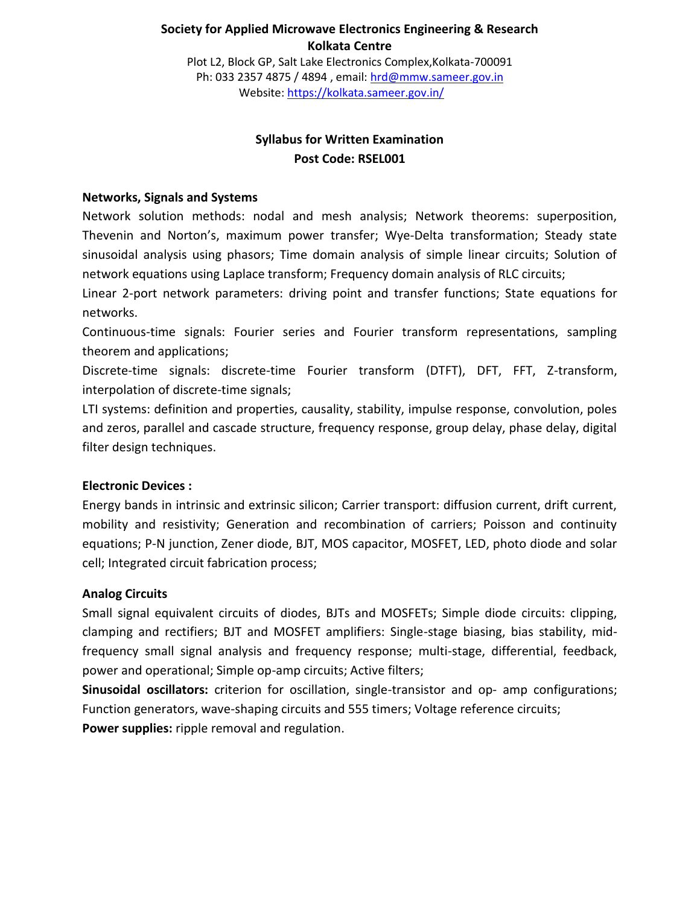## **Society for Applied Microwave Electronics Engineering & Research Kolkata Centre**

Plot L2, Block GP, Salt Lake Electronics Complex,Kolkata-700091 Ph: 033 2357 4875 / 4894 , email: [hrd@mmw.sameer.gov.in](mailto:hrd@mmw.sameer.gov.in) Website:<https://kolkata.sameer.gov.in/>

# **Syllabus for Written Examination Post Code: RSEL001**

### **Networks, Signals and Systems**

Network solution methods: nodal and mesh analysis; Network theorems: superposition, Thevenin and Norton's, maximum power transfer; Wye‐Delta transformation; Steady state sinusoidal analysis using phasors; Time domain analysis of simple linear circuits; Solution of network equations using Laplace transform; Frequency domain analysis of RLC circuits;

Linear 2‐port network parameters: driving point and transfer functions; State equations for networks.

Continuous-time signals: Fourier series and Fourier transform representations, sampling theorem and applications;

Discrete-time signals: discrete-time Fourier transform (DTFT), DFT, FFT, Z-transform, interpolation of discrete-time signals;

LTI systems: definition and properties, causality, stability, impulse response, convolution, poles and zeros, parallel and cascade structure, frequency response, group delay, phase delay, digital filter design techniques.

# **Electronic Devices :**

Energy bands in intrinsic and extrinsic silicon; Carrier transport: diffusion current, drift current, mobility and resistivity; Generation and recombination of carriers; Poisson and continuity equations; P-N junction, Zener diode, BJT, MOS capacitor, MOSFET, LED, photo diode and solar cell; Integrated circuit fabrication process;

#### **Analog Circuits**

Small signal equivalent circuits of diodes, BJTs and MOSFETs; Simple diode circuits: clipping, clamping and rectifiers; BJT and MOSFET amplifiers: Single-stage biasing, bias stability, midfrequency small signal analysis and frequency response; multi-stage, differential, feedback, power and operational; Simple op-amp circuits; Active filters;

**Sinusoidal oscillators:** criterion for oscillation, single-transistor and op- amp configurations; Function generators, wave-shaping circuits and 555 timers; Voltage reference circuits; **Power supplies:** ripple removal and regulation.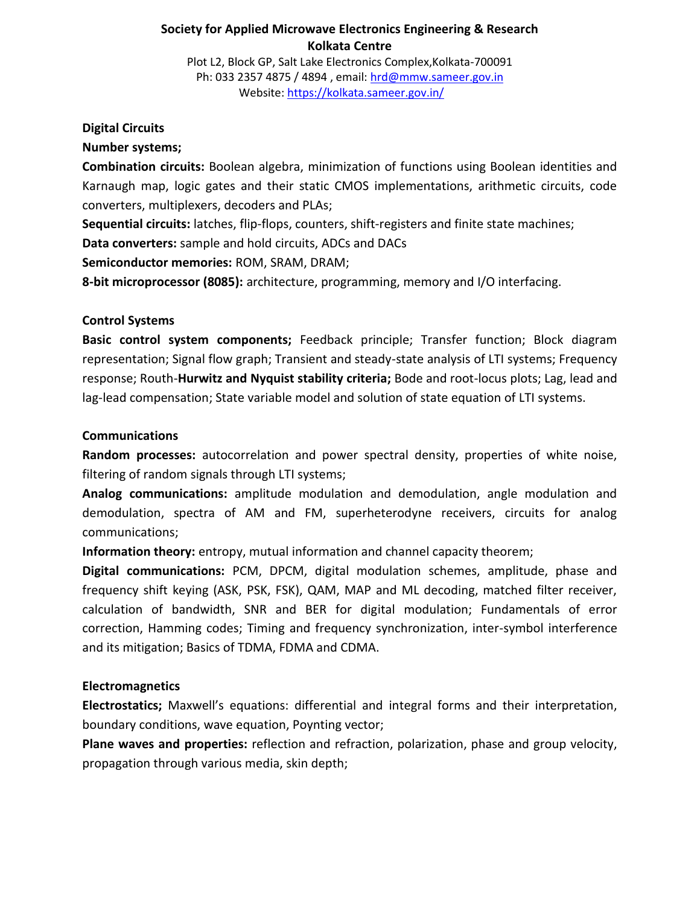## **Society for Applied Microwave Electronics Engineering & Research Kolkata Centre**

Plot L2, Block GP, Salt Lake Electronics Complex,Kolkata-700091 Ph: 033 2357 4875 / 4894 , email: [hrd@mmw.sameer.gov.in](mailto:hrd@mmw.sameer.gov.in) Website:<https://kolkata.sameer.gov.in/>

#### **Digital Circuits**

#### **Number systems;**

**Combination circuits:** Boolean algebra, minimization of functions using Boolean identities and Karnaugh map, logic gates and their static CMOS implementations, arithmetic circuits, code converters, multiplexers, decoders and PLAs;

**Sequential circuits:** latches, flip-flops, counters, shift-registers and finite state machines;

**Data converters:** sample and hold circuits, ADCs and DACs

**Semiconductor memories:** ROM, SRAM, DRAM;

**8-bit microprocessor (8085):** architecture, programming, memory and I/O interfacing.

#### **Control Systems**

**Basic control system components;** Feedback principle; Transfer function; Block diagram representation; Signal flow graph; Transient and steady-state analysis of LTI systems; Frequency response; Routh-**Hurwitz and Nyquist stability criteria;** Bode and root-locus plots; Lag, lead and lag-lead compensation; State variable model and solution of state equation of LTI systems.

#### **Communications**

**Random processes:** autocorrelation and power spectral density, properties of white noise, filtering of random signals through LTI systems;

**Analog communications:** amplitude modulation and demodulation, angle modulation and demodulation, spectra of AM and FM, superheterodyne receivers, circuits for analog communications;

**Information theory:** entropy, mutual information and channel capacity theorem;

**Digital communications:** PCM, DPCM, digital modulation schemes, amplitude, phase and frequency shift keying (ASK, PSK, FSK), QAM, MAP and ML decoding, matched filter receiver, calculation of bandwidth, SNR and BER for digital modulation; Fundamentals of error correction, Hamming codes; Timing and frequency synchronization, inter-symbol interference and its mitigation; Basics of TDMA, FDMA and CDMA.

# **Electromagnetics**

**Electrostatics;** Maxwell's equations: differential and integral forms and their interpretation, boundary conditions, wave equation, Poynting vector;

**Plane waves and properties:** reflection and refraction, polarization, phase and group velocity, propagation through various media, skin depth;